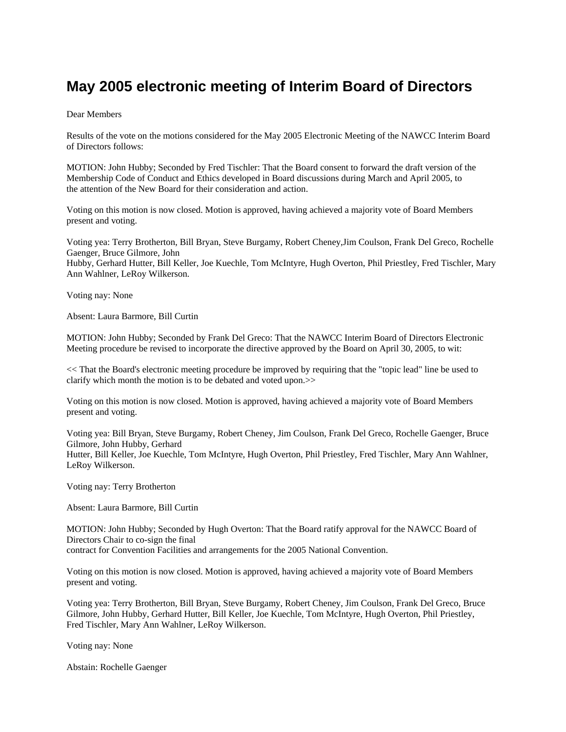## **May 2005 electronic meeting of Interim Board of Directors**

## Dear Members

Results of the vote on the motions considered for the May 2005 Electronic Meeting of the NAWCC Interim Board of Directors follows:

MOTION: John Hubby; Seconded by Fred Tischler: That the Board consent to forward the draft version of the Membership Code of Conduct and Ethics developed in Board discussions during March and April 2005, to the attention of the New Board for their consideration and action.

Voting on this motion is now closed. Motion is approved, having achieved a majority vote of Board Members present and voting.

Voting yea: Terry Brotherton, Bill Bryan, Steve Burgamy, Robert Cheney,Jim Coulson, Frank Del Greco, Rochelle Gaenger, Bruce Gilmore, John Hubby, Gerhard Hutter, Bill Keller, Joe Kuechle, Tom McIntyre, Hugh Overton, Phil Priestley, Fred Tischler, Mary Ann Wahlner, LeRoy Wilkerson.

Voting nay: None

Absent: Laura Barmore, Bill Curtin

MOTION: John Hubby; Seconded by Frank Del Greco: That the NAWCC Interim Board of Directors Electronic Meeting procedure be revised to incorporate the directive approved by the Board on April 30, 2005, to wit:

<< That the Board's electronic meeting procedure be improved by requiring that the "topic lead" line be used to clarify which month the motion is to be debated and voted upon.>>

Voting on this motion is now closed. Motion is approved, having achieved a majority vote of Board Members present and voting.

Voting yea: Bill Bryan, Steve Burgamy, Robert Cheney, Jim Coulson, Frank Del Greco, Rochelle Gaenger, Bruce Gilmore, John Hubby, Gerhard Hutter, Bill Keller, Joe Kuechle, Tom McIntyre, Hugh Overton, Phil Priestley, Fred Tischler, Mary Ann Wahlner, LeRoy Wilkerson.

Voting nay: Terry Brotherton

Absent: Laura Barmore, Bill Curtin

MOTION: John Hubby; Seconded by Hugh Overton: That the Board ratify approval for the NAWCC Board of Directors Chair to co-sign the final

contract for Convention Facilities and arrangements for the 2005 National Convention.

Voting on this motion is now closed. Motion is approved, having achieved a majority vote of Board Members present and voting.

Voting yea: Terry Brotherton, Bill Bryan, Steve Burgamy, Robert Cheney, Jim Coulson, Frank Del Greco, Bruce Gilmore, John Hubby, Gerhard Hutter, Bill Keller, Joe Kuechle, Tom McIntyre, Hugh Overton, Phil Priestley, Fred Tischler, Mary Ann Wahlner, LeRoy Wilkerson.

Voting nay: None

Abstain: Rochelle Gaenger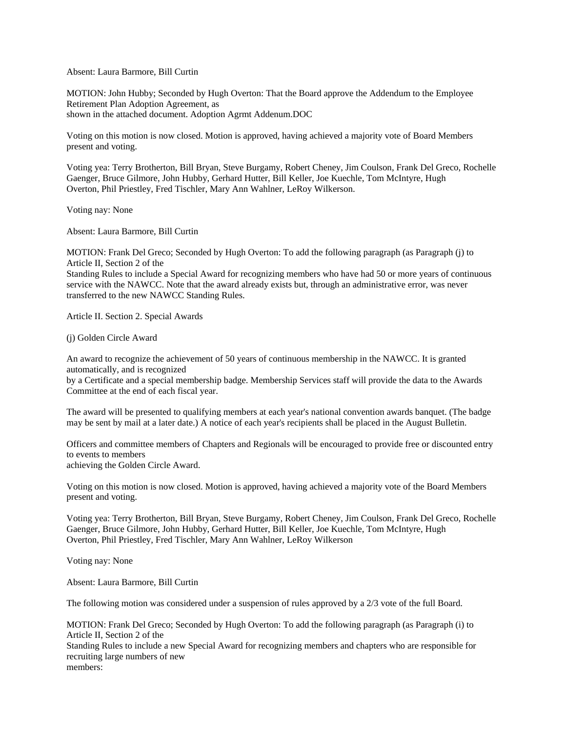Absent: Laura Barmore, Bill Curtin

MOTION: John Hubby; Seconded by Hugh Overton: That the Board approve the Addendum to the Employee Retirement Plan Adoption Agreement, as shown in the attached document. Adoption Agrmt Addenum.DOC

Voting on this motion is now closed. Motion is approved, having achieved a majority vote of Board Members present and voting.

Voting yea: Terry Brotherton, Bill Bryan, Steve Burgamy, Robert Cheney, Jim Coulson, Frank Del Greco, Rochelle Gaenger, Bruce Gilmore, John Hubby, Gerhard Hutter, Bill Keller, Joe Kuechle, Tom McIntyre, Hugh Overton, Phil Priestley, Fred Tischler, Mary Ann Wahlner, LeRoy Wilkerson.

Voting nay: None

Absent: Laura Barmore, Bill Curtin

MOTION: Frank Del Greco; Seconded by Hugh Overton: To add the following paragraph (as Paragraph (j) to Article II, Section 2 of the

Standing Rules to include a Special Award for recognizing members who have had 50 or more years of continuous service with the NAWCC. Note that the award already exists but, through an administrative error, was never transferred to the new NAWCC Standing Rules.

Article II. Section 2. Special Awards

(j) Golden Circle Award

An award to recognize the achievement of 50 years of continuous membership in the NAWCC. It is granted automatically, and is recognized

by a Certificate and a special membership badge. Membership Services staff will provide the data to the Awards Committee at the end of each fiscal year.

The award will be presented to qualifying members at each year's national convention awards banquet. (The badge may be sent by mail at a later date.) A notice of each year's recipients shall be placed in the August Bulletin.

Officers and committee members of Chapters and Regionals will be encouraged to provide free or discounted entry to events to members achieving the Golden Circle Award.

Voting on this motion is now closed. Motion is approved, having achieved a majority vote of the Board Members present and voting.

Voting yea: Terry Brotherton, Bill Bryan, Steve Burgamy, Robert Cheney, Jim Coulson, Frank Del Greco, Rochelle Gaenger, Bruce Gilmore, John Hubby, Gerhard Hutter, Bill Keller, Joe Kuechle, Tom McIntyre, Hugh Overton, Phil Priestley, Fred Tischler, Mary Ann Wahlner, LeRoy Wilkerson

Voting nay: None

Absent: Laura Barmore, Bill Curtin

The following motion was considered under a suspension of rules approved by a 2/3 vote of the full Board.

MOTION: Frank Del Greco; Seconded by Hugh Overton: To add the following paragraph (as Paragraph (i) to Article II, Section 2 of the

Standing Rules to include a new Special Award for recognizing members and chapters who are responsible for recruiting large numbers of new members: